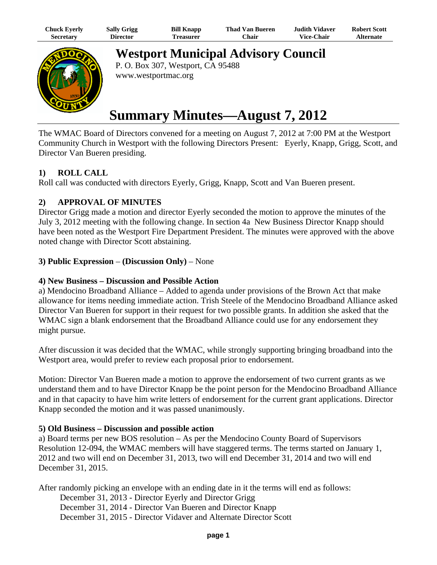| Chuck Eyerly     | <b>Sally Grigg</b> | <b>Bill Knapp</b> | Thad Van Bueren | Judith Vidaver.   | <b>Robert Scott</b> |
|------------------|--------------------|-------------------|-----------------|-------------------|---------------------|
| <b>Secretary</b> | Director           | Freasurer         | ⊡hair           | <b>Vice-Chair</b> | <b>Alternate</b>    |



**Westport Municipal Advisory Council**

P. O. Box 307, Westport, CA 95488 www.westportmac.org

# **Summary Minutes—August 7, 2012**

The WMAC Board of Directors convened for a meeting on August 7, 2012 at 7:00 PM at the Westport Community Church in Westport with the following Directors Present: Eyerly, Knapp, Grigg, Scott, and Director Van Bueren presiding.

# **1) ROLL CALL**

Roll call was conducted with directors Eyerly, Grigg, Knapp, Scott and Van Bueren present.

# **2) APPROVAL OF MINUTES**

Director Grigg made a motion and director Eyerly seconded the motion to approve the minutes of the July 3, 2012 meeting with the following change. In section 4a New Business Director Knapp should have been noted as the Westport Fire Department President. The minutes were approved with the above noted change with Director Scott abstaining.

# **3) Public Expression** – **(Discussion Only)** – None

#### **4) New Business – Discussion and Possible Action**

a) Mendocino Broadband Alliance – Added to agenda under provisions of the Brown Act that make allowance for items needing immediate action. Trish Steele of the Mendocino Broadband Alliance asked Director Van Bueren for support in their request for two possible grants. In addition she asked that the WMAC sign a blank endorsement that the Broadband Alliance could use for any endorsement they might pursue.

After discussion it was decided that the WMAC, while strongly supporting bringing broadband into the Westport area, would prefer to review each proposal prior to endorsement.

Motion: Director Van Bueren made a motion to approve the endorsement of two current grants as we understand them and to have Director Knapp be the point person for the Mendocino Broadband Alliance and in that capacity to have him write letters of endorsement for the current grant applications. Director Knapp seconded the motion and it was passed unanimously.

# **5) Old Business – Discussion and possible action**

a) Board terms per new BOS resolution – As per the Mendocino County Board of Supervisors Resolution 12-094, the WMAC members will have staggered terms. The terms started on January 1, 2012 and two will end on December 31, 2013, two will end December 31, 2014 and two will end December 31, 2015.

After randomly picking an envelope with an ending date in it the terms will end as follows: December 31, 2013 - Director Eyerly and Director Grigg December 31, 2014 - Director Van Bueren and Director Knapp December 31, 2015 - Director Vidaver and Alternate Director Scott